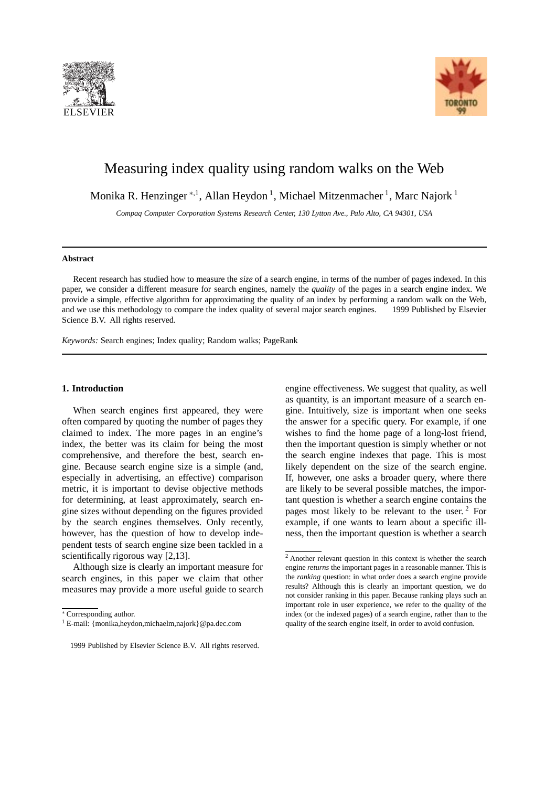



# Measuring index quality using random walks on the Web

Monika R. Henzinger \*,<sup>1</sup>, Allan Heydon <sup>1</sup>, Michael Mitzenmacher <sup>1</sup>, Marc Najork <sup>1</sup>

*Compaq Computer Corporation Systems Research Center, 130 Lytton Ave., Palo Alto, CA 94301, USA*

#### **Abstract**

Recent research has studied how to measure the *size* of a search engine, in terms of the number of pages indexed. In this paper, we consider a different measure for search engines, namely the *quality* of the pages in a search engine index. We provide a simple, effective algorithm for approximating the quality of an index by performing a random walk on the Web, and we use this methodology to compare the index quality of several major search engines.  $© 1999$  Published by Elsevier Science B.V. All rights reserved.

*Keywords:* Search engines; Index quality; Random walks; PageRank

# **1. Introduction**

When search engines first appeared, they were often compared by quoting the number of pages they claimed to index. The more pages in an engine's index, the better was its claim for being the most comprehensive, and therefore the best, search engine. Because search engine size is a simple (and, especially in advertising, an effective) comparison metric, it is important to devise objective methods for determining, at least approximately, search engine sizes without depending on the figures provided by the search engines themselves. Only recently, however, has the question of how to develop independent tests of search engine size been tackled in a scientifically rigorous way [2,13].

Although size is clearly an important measure for search engines, in this paper we claim that other measures may provide a more useful guide to search engine effectiveness. We suggest that quality, as well as quantity, is an important measure of a search engine. Intuitively, size is important when one seeks the answer for a specific query. For example, if one wishes to find the home page of a long-lost friend, then the important question is simply whether or not the search engine indexes that page. This is most likely dependent on the size of the search engine. If, however, one asks a broader query, where there are likely to be several possible matches, the important question is whether a search engine contains the pages most likely to be relevant to the user. <sup>2</sup> For example, if one wants to learn about a specific illness, then the important question is whether a search

<sup>\*</sup> Corresponding author.

<sup>1</sup> E-mail: {monika,heydon,michaelm,najork}@pa.dec.com

1999 Published by Elsevier Science B.V. All rights reserved.

<sup>2</sup> Another relevant question in this context is whether the search engine *returns* the important pages in a reasonable manner. This is the *ranking* question: in what order does a search engine provide results? Although this is clearly an important question, we do not consider ranking in this paper. Because ranking plays such an important role in user experience, we refer to the quality of the index (or the indexed pages) of a search engine, rather than to the quality of the search engine itself, in order to avoid confusion.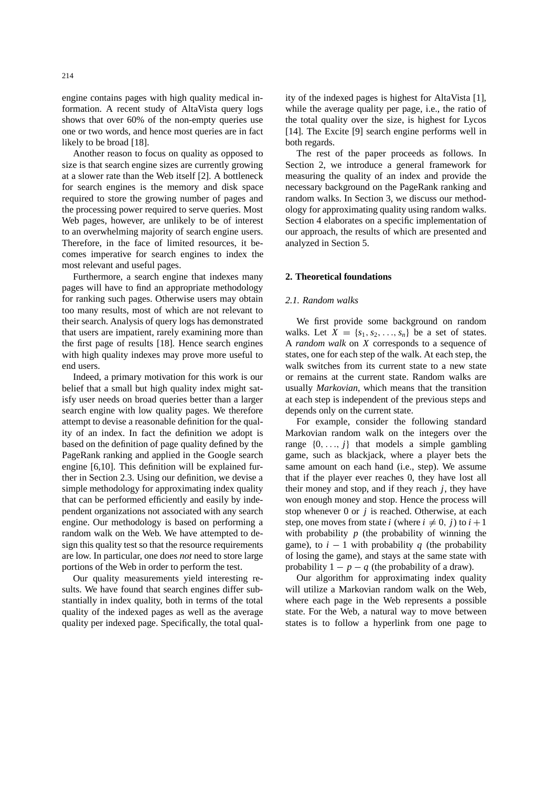engine contains pages with high quality medical information. A recent study of AltaVista query logs shows that over 60% of the non-empty queries use one or two words, and hence most queries are in fact likely to be broad [18].

Another reason to focus on quality as opposed to size is that search engine sizes are currently growing at a slower rate than the Web itself [2]. A bottleneck for search engines is the memory and disk space required to store the growing number of pages and the processing power required to serve queries. Most Web pages, however, are unlikely to be of interest to an overwhelming majority of search engine users. Therefore, in the face of limited resources, it becomes imperative for search engines to index the most relevant and useful pages.

Furthermore, a search engine that indexes many pages will have to find an appropriate methodology for ranking such pages. Otherwise users may obtain too many results, most of which are not relevant to their search. Analysis of query logs has demonstrated that users are impatient, rarely examining more than the first page of results [18]. Hence search engines with high quality indexes may prove more useful to end users.

Indeed, a primary motivation for this work is our belief that a small but high quality index might satisfy user needs on broad queries better than a larger search engine with low quality pages. We therefore attempt to devise a reasonable definition for the quality of an index. In fact the definition we adopt is based on the definition of page quality defined by the PageRank ranking and applied in the Google search engine [6,10]. This definition will be explained further in Section 2.3. Using our definition, we devise a simple methodology for approximating index quality that can be performed efficiently and easily by independent organizations not associated with any search engine. Our methodology is based on performing a random walk on the Web. We have attempted to design this quality test so that the resource requirements are low. In particular, one does *not* need to store large portions of the Web in order to perform the test.

Our quality measurements yield interesting results. We have found that search engines differ substantially in index quality, both in terms of the total quality of the indexed pages as well as the average quality per indexed page. Specifically, the total qual-

ity of the indexed pages is highest for AltaVista [1], while the average quality per page, i.e., the ratio of the total quality over the size, is highest for Lycos [14]. The Excite [9] search engine performs well in both regards.

The rest of the paper proceeds as follows. In Section 2, we introduce a general framework for measuring the quality of an index and provide the necessary background on the PageRank ranking and random walks. In Section 3, we discuss our methodology for approximating quality using random walks. Section 4 elaborates on a specific implementation of our approach, the results of which are presented and analyzed in Section 5.

## **2. Theoretical foundations**

#### *2.1. Random walks*

We first provide some background on random walks. Let  $X = \{s_1, s_2, \ldots, s_n\}$  be a set of states. A *random walk* on *X* corresponds to a sequence of states, one for each step of the walk. At each step, the walk switches from its current state to a new state or remains at the current state. Random walks are usually *Markovian*, which means that the transition at each step is independent of the previous steps and depends only on the current state.

For example, consider the following standard Markovian random walk on the integers over the range  $\{0, \ldots, j\}$  that models a simple gambling game, such as blackjack, where a player bets the same amount on each hand (i.e., step). We assume that if the player ever reaches 0, they have lost all their money and stop, and if they reach *j*, they have won enough money and stop. Hence the process will stop whenever 0 or *j* is reached. Otherwise, at each step, one moves from state *i* (where  $i \neq 0$ , *j*) to  $i + 1$ with probability  $p$  (the probability of winning the game), to  $i - 1$  with probability  $q$  (the probability of losing the game), and stays at the same state with probability  $1 - p - q$  (the probability of a draw).

Our algorithm for approximating index quality will utilize a Markovian random walk on the Web, where each page in the Web represents a possible state. For the Web, a natural way to move between states is to follow a hyperlink from one page to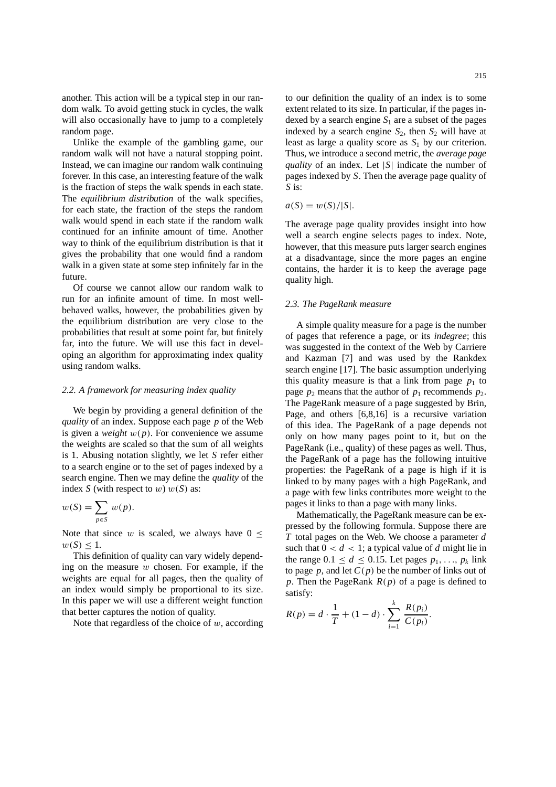another. This action will be a typical step in our random walk. To avoid getting stuck in cycles, the walk will also occasionally have to jump to a completely random page.

Unlike the example of the gambling game, our random walk will not have a natural stopping point. Instead, we can imagine our random walk continuing forever. In this case, an interesting feature of the walk is the fraction of steps the walk spends in each state. The *equilibrium distribution* of the walk specifies, for each state, the fraction of the steps the random walk would spend in each state if the random walk continued for an infinite amount of time. Another way to think of the equilibrium distribution is that it gives the probability that one would find a random walk in a given state at some step infinitely far in the future.

Of course we cannot allow our random walk to run for an infinite amount of time. In most wellbehaved walks, however, the probabilities given by the equilibrium distribution are very close to the probabilities that result at some point far, but finitely far, into the future. We will use this fact in developing an algorithm for approximating index quality using random walks.

#### *2.2. A framework for measuring index quality*

We begin by providing a general definition of the *quality* of an index. Suppose each page *p* of the Web is given a *weight*  $w(p)$ . For convenience we assume the weights are scaled so that the sum of all weights is 1. Abusing notation slightly, we let *S* refer either to a search engine or to the set of pages indexed by a search engine. Then we may define the *quality* of the index *S* (with respect to  $w$ )  $w(S)$  as:

$$
w(S) = \sum_{p \in S} w(p).
$$

Note that since  $w$  is scaled, we always have  $0 <$  $w(S) \leq 1.$ 

This definition of quality can vary widely depending on the measure  $w$  chosen. For example, if the weights are equal for all pages, then the quality of an index would simply be proportional to its size. In this paper we will use a different weight function that better captures the notion of quality.

Note that regardless of the choice of  $w$ , according

to our definition the quality of an index is to some extent related to its size. In particular, if the pages indexed by a search engine  $S_1$  are a subset of the pages indexed by a search engine  $S_2$ , then  $S_2$  will have at least as large a quality score as *S*<sup>1</sup> by our criterion. Thus, we introduce a second metric, the *average page quality* of an index. Let |*S*| indicate the number of pages indexed by *S*. Then the average page quality of *S* is:

$$
a(S) = w(S)/|S|.
$$

The average page quality provides insight into how well a search engine selects pages to index. Note, however, that this measure puts larger search engines at a disadvantage, since the more pages an engine contains, the harder it is to keep the average page quality high.

#### *2.3. The PageRank measure*

A simple quality measure for a page is the number of pages that reference a page, or its *indegree*; this was suggested in the context of the Web by Carriere and Kazman [7] and was used by the Rankdex search engine [17]. The basic assumption underlying this quality measure is that a link from page  $p_1$  to page  $p_2$  means that the author of  $p_1$  recommends  $p_2$ . The PageRank measure of a page suggested by Brin, Page, and others [6,8,16] is a recursive variation of this idea. The PageRank of a page depends not only on how many pages point to it, but on the PageRank (i.e., quality) of these pages as well. Thus, the PageRank of a page has the following intuitive properties: the PageRank of a page is high if it is linked to by many pages with a high PageRank, and a page with few links contributes more weight to the pages it links to than a page with many links.

Mathematically, the PageRank measure can be expressed by the following formula. Suppose there are *T* total pages on the Web. We choose a parameter *d* such that  $0 < d < 1$ ; a typical value of *d* might lie in the range  $0.1 < d < 0.15$ . Let pages  $p_1, \ldots, p_k$  link to page *p*, and let  $C(p)$  be the number of links out of *p*. Then the PageRank  $R(p)$  of a page is defined to satisfy:

$$
R(p) = d \cdot \frac{1}{T} + (1 - d) \cdot \sum_{i=1}^{k} \frac{R(p_i)}{C(p_i)}.
$$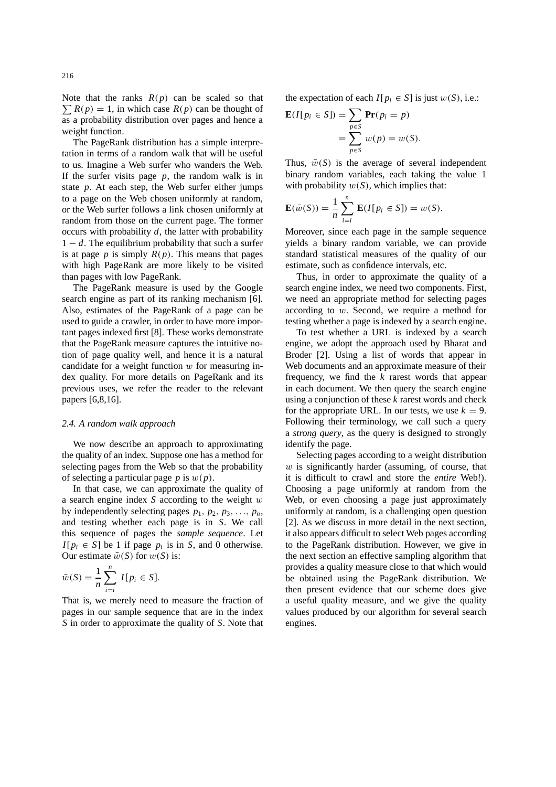$\sum R(p) = 1$ , in which case  $R(p)$  can be thought of Note that the ranks  $R(p)$  can be scaled so that as a probability distribution over pages and hence a weight function.

The PageRank distribution has a simple interpretation in terms of a random walk that will be useful to us. Imagine a Web surfer who wanders the Web. If the surfer visits page  $p$ , the random walk is in state  $p$ . At each step, the Web surfer either jumps to a page on the Web chosen uniformly at random, or the Web surfer follows a link chosen uniformly at random from those on the current page. The former occurs with probability *d*, the latter with probability  $1 - d$ . The equilibrium probability that such a surfer is at page *p* is simply  $R(p)$ . This means that pages with high PageRank are more likely to be visited than pages with low PageRank.

The PageRank measure is used by the Google search engine as part of its ranking mechanism [6]. Also, estimates of the PageRank of a page can be used to guide a crawler, in order to have more important pages indexed first [8]. These works demonstrate that the PageRank measure captures the intuitive notion of page quality well, and hence it is a natural candidate for a weight function  $w$  for measuring index quality. For more details on PageRank and its previous uses, we refer the reader to the relevant papers [6,8,16].

#### *2.4. A random walk approach*

We now describe an approach to approximating the quality of an index. Suppose one has a method for selecting pages from the Web so that the probability of selecting a particular page *p* is  $w(p)$ .

In that case, we can approximate the quality of a search engine index *S* according to the weight w by independently selecting pages  $p_1, p_2, p_3, \ldots, p_n$ , and testing whether each page is in *S*. We call this sequence of pages the *sample sequence*. Let  $I[p_i \in S]$  be 1 if page  $p_i$  is in *S*, and 0 otherwise. Our estimate  $\bar{w}(S)$  for  $w(S)$  is:

$$
\bar{w}(S) = \frac{1}{n} \sum_{i=i}^{n} I[p_i \in S].
$$

That is, we merely need to measure the fraction of pages in our sample sequence that are in the index *S* in order to approximate the quality of *S*. Note that the expectation of each  $I[p_i \in S]$  is just  $w(S)$ , i.e.:

$$
\mathbf{E}(I[p_i \in S]) = \sum_{p \in S} \mathbf{Pr}(p_i = p)
$$
  
= 
$$
\sum_{p \in S} w(p) = w(S).
$$

Thus,  $\bar{w}(S)$  is the average of several independent binary random variables, each taking the value 1 with probability  $w(S)$ , which implies that:

$$
\mathbf{E}(\bar{w}(S)) = \frac{1}{n} \sum_{i=i}^{n} \mathbf{E}(I[p_i \in S]) = w(S).
$$

Moreover, since each page in the sample sequence yields a binary random variable, we can provide standard statistical measures of the quality of our estimate, such as confidence intervals, etc.

Thus, in order to approximate the quality of a search engine index, we need two components. First, we need an appropriate method for selecting pages according to w. Second, we require a method for testing whether a page is indexed by a search engine.

To test whether a URL is indexed by a search engine, we adopt the approach used by Bharat and Broder [2]. Using a list of words that appear in Web documents and an approximate measure of their frequency, we find the *k* rarest words that appear in each document. We then query the search engine using a conjunction of these *k* rarest words and check for the appropriate URL. In our tests, we use  $k = 9$ . Following their terminology, we call such a query a *strong query*, as the query is designed to strongly identify the page.

Selecting pages according to a weight distribution  $w$  is significantly harder (assuming, of course, that it is difficult to crawl and store the *entire* Web!). Choosing a page uniformly at random from the Web, or even choosing a page just approximately uniformly at random, is a challenging open question [2]. As we discuss in more detail in the next section, it also appears difficult to select Web pages according to the PageRank distribution. However, we give in the next section an effective sampling algorithm that provides a quality measure close to that which would be obtained using the PageRank distribution. We then present evidence that our scheme does give a useful quality measure, and we give the quality values produced by our algorithm for several search engines.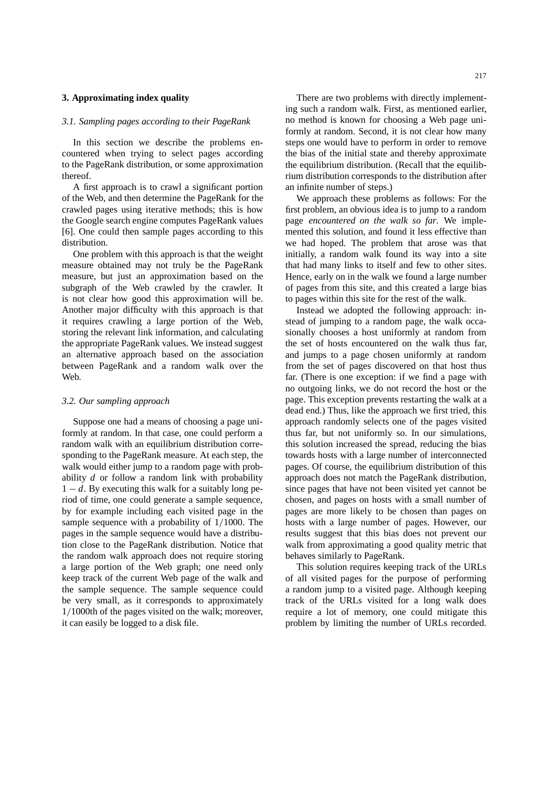## **3. Approximating index quality**

### *3.1. Sampling pages according to their PageRank*

In this section we describe the problems encountered when trying to select pages according to the PageRank distribution, or some approximation thereof.

A first approach is to crawl a significant portion of the Web, and then determine the PageRank for the crawled pages using iterative methods; this is how the Google search engine computes PageRank values [6]. One could then sample pages according to this distribution.

One problem with this approach is that the weight measure obtained may not truly be the PageRank measure, but just an approximation based on the subgraph of the Web crawled by the crawler. It is not clear how good this approximation will be. Another major difficulty with this approach is that it requires crawling a large portion of the Web, storing the relevant link information, and calculating the appropriate PageRank values. We instead suggest an alternative approach based on the association between PageRank and a random walk over the Web.

## *3.2. Our sampling approach*

Suppose one had a means of choosing a page uniformly at random. In that case, one could perform a random walk with an equilibrium distribution corresponding to the PageRank measure. At each step, the walk would either jump to a random page with probability *d* or follow a random link with probability  $1 - d$ . By executing this walk for a suitably long period of time, one could generate a sample sequence, by for example including each visited page in the sample sequence with a probability of  $1/1000$ . The pages in the sample sequence would have a distribution close to the PageRank distribution. Notice that the random walk approach does not require storing a large portion of the Web graph; one need only keep track of the current Web page of the walk and the sample sequence. The sample sequence could be very small, as it corresponds to approximately  $1/1000$ th of the pages visited on the walk; moreover, it can easily be logged to a disk file.

There are two problems with directly implementing such a random walk. First, as mentioned earlier, no method is known for choosing a Web page uniformly at random. Second, it is not clear how many steps one would have to perform in order to remove the bias of the initial state and thereby approximate the equilibrium distribution. (Recall that the equilibrium distribution corresponds to the distribution after an infinite number of steps.)

We approach these problems as follows: For the first problem, an obvious idea is to jump to a random page *encountered on the walk so far*. We implemented this solution, and found it less effective than we had hoped. The problem that arose was that initially, a random walk found its way into a site that had many links to itself and few to other sites. Hence, early on in the walk we found a large number of pages from this site, and this created a large bias to pages within this site for the rest of the walk.

Instead we adopted the following approach: instead of jumping to a random page, the walk occasionally chooses a host uniformly at random from the set of hosts encountered on the walk thus far, and jumps to a page chosen uniformly at random from the set of pages discovered on that host thus far. (There is one exception: if we find a page with no outgoing links, we do not record the host or the page. This exception prevents restarting the walk at a dead end.) Thus, like the approach we first tried, this approach randomly selects one of the pages visited thus far, but not uniformly so. In our simulations, this solution increased the spread, reducing the bias towards hosts with a large number of interconnected pages. Of course, the equilibrium distribution of this approach does not match the PageRank distribution, since pages that have not been visited yet cannot be chosen, and pages on hosts with a small number of pages are more likely to be chosen than pages on hosts with a large number of pages. However, our results suggest that this bias does not prevent our walk from approximating a good quality metric that behaves similarly to PageRank.

This solution requires keeping track of the URLs of all visited pages for the purpose of performing a random jump to a visited page. Although keeping track of the URLs visited for a long walk does require a lot of memory, one could mitigate this problem by limiting the number of URLs recorded.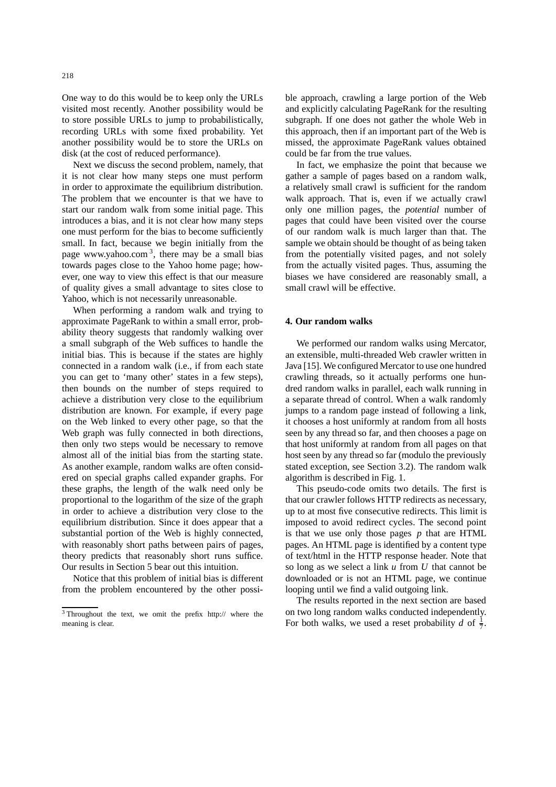One way to do this would be to keep only the URLs visited most recently. Another possibility would be to store possible URLs to jump to probabilistically, recording URLs with some fixed probability. Yet another possibility would be to store the URLs on disk (at the cost of reduced performance).

Next we discuss the second problem, namely, that it is not clear how many steps one must perform in order to approximate the equilibrium distribution. The problem that we encounter is that we have to start our random walk from some initial page. This introduces a bias, and it is not clear how many steps one must perform for the bias to become sufficiently small. In fact, because we begin initially from the page www.yahoo.com<sup>3</sup>, there may be a small bias towards pages close to the Yahoo home page; however, one way to view this effect is that our measure of quality gives a small advantage to sites close to Yahoo, which is not necessarily unreasonable.

When performing a random walk and trying to approximate PageRank to within a small error, probability theory suggests that randomly walking over a small subgraph of the Web suffices to handle the initial bias. This is because if the states are highly connected in a random walk (i.e., if from each state you can get to 'many other' states in a few steps), then bounds on the number of steps required to achieve a distribution very close to the equilibrium distribution are known. For example, if every page on the Web linked to every other page, so that the Web graph was fully connected in both directions, then only two steps would be necessary to remove almost all of the initial bias from the starting state. As another example, random walks are often considered on special graphs called expander graphs. For these graphs, the length of the walk need only be proportional to the logarithm of the size of the graph in order to achieve a distribution very close to the equilibrium distribution. Since it does appear that a substantial portion of the Web is highly connected, with reasonably short paths between pairs of pages, theory predicts that reasonably short runs suffice. Our results in Section 5 bear out this intuition.

Notice that this problem of initial bias is different from the problem encountered by the other possible approach, crawling a large portion of the Web and explicitly calculating PageRank for the resulting subgraph. If one does not gather the whole Web in this approach, then if an important part of the Web is missed, the approximate PageRank values obtained could be far from the true values.

In fact, we emphasize the point that because we gather a sample of pages based on a random walk, a relatively small crawl is sufficient for the random walk approach. That is, even if we actually crawl only one million pages, the *potential* number of pages that could have been visited over the course of our random walk is much larger than that. The sample we obtain should be thought of as being taken from the potentially visited pages, and not solely from the actually visited pages. Thus, assuming the biases we have considered are reasonably small, a small crawl will be effective.

#### **4. Our random walks**

We performed our random walks using Mercator, an extensible, multi-threaded Web crawler written in Java [15]. We configured Mercator to use one hundred crawling threads, so it actually performs one hundred random walks in parallel, each walk running in a separate thread of control. When a walk randomly jumps to a random page instead of following a link, it chooses a host uniformly at random from all hosts seen by any thread so far, and then chooses a page on that host uniformly at random from all pages on that host seen by any thread so far (modulo the previously stated exception, see Section 3.2). The random walk algorithm is described in Fig. 1.

This pseudo-code omits two details. The first is that our crawler follows HTTP redirects as necessary, up to at most five consecutive redirects. This limit is imposed to avoid redirect cycles. The second point is that we use only those pages *p* that are HTML pages. An HTML page is identified by a content type of text/html in the HTTP response header. Note that so long as we select a link *u* from *U* that cannot be downloaded or is not an HTML page, we continue looping until we find a valid outgoing link.

The results reported in the next section are based on two long random walks conducted independently. For both walks, we used a reset probability *d* of  $\frac{1}{7}$ .

<sup>3</sup> Throughout the text, we omit the prefix http:// where the meaning is clear.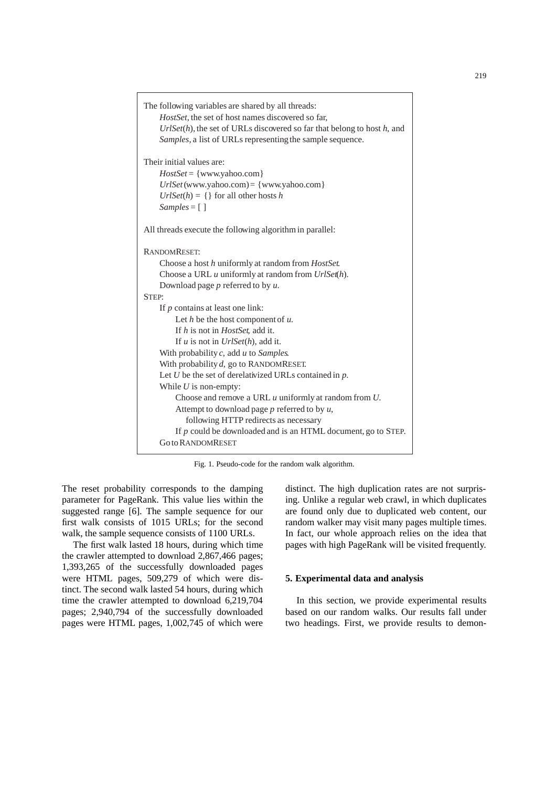| The following variables are shared by all threads:<br><i>HostSet</i> , the set of host names discovered so far,<br>$UrISet(h)$ , the set of URLs discovered so far that belong to host $h$ , and<br>Samples, a list of URLs representing the sample sequence. |
|---------------------------------------------------------------------------------------------------------------------------------------------------------------------------------------------------------------------------------------------------------------|
| Their initial values are:<br>$HostSet = \{www.yahoo.com\}$<br>$UrlSet$ (www.yahoo.com) = {www.yahoo.com}<br>$UrlSet(h) = \{\}$ for all other hosts h<br>$Samples = [$                                                                                         |
| All threads execute the following algorithm in parallel:                                                                                                                                                                                                      |
| <b>RANDOMRESET:</b>                                                                                                                                                                                                                                           |
| Choose a host h uniformly at random from <i>HostSet</i> .                                                                                                                                                                                                     |
| Choose a URL u uniformly at random from UrlSet(h).                                                                                                                                                                                                            |
| Download page $p$ referred to by $u$ .                                                                                                                                                                                                                        |
| STEP:                                                                                                                                                                                                                                                         |
| If $p$ contains at least one link:                                                                                                                                                                                                                            |
| Let $h$ be the host component of $u$ .                                                                                                                                                                                                                        |
| If h is not in <i>HostSet</i> , add it.                                                                                                                                                                                                                       |
| If $u$ is not in $UrlSet(h)$ , add it.                                                                                                                                                                                                                        |
| With probability $c$ , add $u$ to Samples.                                                                                                                                                                                                                    |
| With probability $d$ , go to RANDOMRESET.                                                                                                                                                                                                                     |
| Let $U$ be the set of derelativized URLs contained in $p$ .                                                                                                                                                                                                   |
| While $U$ is non-empty:                                                                                                                                                                                                                                       |
| Choose and remove a URL $u$ uniformly at random from $U$ .                                                                                                                                                                                                    |
| Attempt to download page $p$ referred to by $u$ ,                                                                                                                                                                                                             |
| following HTTP redirects as necessary                                                                                                                                                                                                                         |
| If $p$ could be downloaded and is an HTML document, go to STEP.                                                                                                                                                                                               |
| <b>Go to RANDOMRESET</b>                                                                                                                                                                                                                                      |

Fig. 1. Pseudo-code for the random walk algorithm.

The reset probability corresponds to the damping parameter for PageRank. This value lies within the suggested range [6]. The sample sequence for our first walk consists of 1015 URLs; for the second walk, the sample sequence consists of 1100 URLs.

The first walk lasted 18 hours, during which time the crawler attempted to download 2,867,466 pages; 1,393,265 of the successfully downloaded pages were HTML pages, 509,279 of which were distinct. The second walk lasted 54 hours, during which time the crawler attempted to download 6,219,704 pages; 2,940,794 of the successfully downloaded pages were HTML pages, 1,002,745 of which were

distinct. The high duplication rates are not surprising. Unlike a regular web crawl, in which duplicates are found only due to duplicated web content, our random walker may visit many pages multiple times. In fact, our whole approach relies on the idea that pages with high PageRank will be visited frequently.

## **5. Experimental data and analysis**

In this section, we provide experimental results based on our random walks. Our results fall under two headings. First, we provide results to demon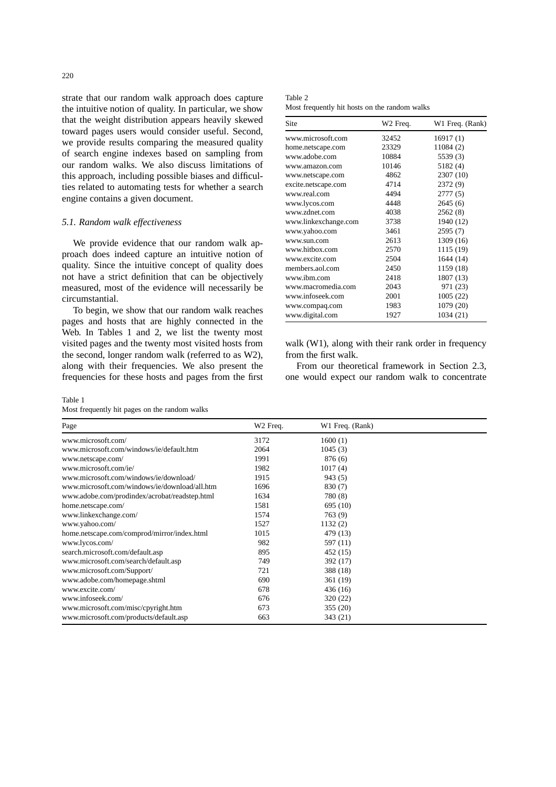strate that our random walk approach does capture the intuitive notion of quality. In particular, we show that the weight distribution appears heavily skewed toward pages users would consider useful. Second, we provide results comparing the measured quality of search engine indexes based on sampling from our random walks. We also discuss limitations of this approach, including possible biases and difficulties related to automating tests for whether a search engine contains a given document.

#### *5.1. Random walk effectiveness*

We provide evidence that our random walk approach does indeed capture an intuitive notion of quality. Since the intuitive concept of quality does not have a strict definition that can be objectively measured, most of the evidence will necessarily be circumstantial.

To begin, we show that our random walk reaches pages and hosts that are highly connected in the Web. In Tables 1 and 2, we list the twenty most visited pages and the twenty most visited hosts from the second, longer random walk (referred to as W2), along with their frequencies. We also present the frequencies for these hosts and pages from the first

Table 1

| Page                                          | W <sub>2</sub> Freq. | W1 Freq. (Rank) |  |
|-----------------------------------------------|----------------------|-----------------|--|
| www.microsoft.com/                            | 3172                 | 1600(1)         |  |
| www.microsoft.com/windows/ie/default.htm      | 2064                 | 1045(3)         |  |
| www.netscape.com/                             | 1991                 | 876 (6)         |  |
| www.microsoft.com/ie/                         | 1982                 | 1017(4)         |  |
| www.microsoft.com/windows/ie/download/        | 1915                 | 943(5)          |  |
| www.microsoft.com/windows/ie/download/all.htm | 1696                 | 830 (7)         |  |
| www.adobe.com/prodindex/acrobat/readstep.html | 1634                 | 780 (8)         |  |
| home.netscape.com/                            | 1581                 | 695 (10)        |  |
| www.linkexchange.com/                         | 1574                 | 763 (9)         |  |
| www.yahoo.com/                                | 1527                 | 1132(2)         |  |
| home.netscape.com/comprod/mirror/index.html   | 1015                 | 479 (13)        |  |
| www.lycos.com/                                | 982                  | 597 (11)        |  |
| search.microsoft.com/default.asp              | 895                  | 452 (15)        |  |
| www.microsoft.com/search/default.asp          | 749                  | 392 (17)        |  |
| www.microsoft.com/Support/                    | 721                  | 388 (18)        |  |
| www.adobe.com/homepage.shtml                  | 690                  | 361 (19)        |  |
| www.excite.com/                               | 678                  | 436 (16)        |  |
| www.infoseek.com/                             | 676                  | 320 (22)        |  |
| www.microsoft.com/misc/cpyright.htm           | 673                  | 355(20)         |  |
| www.microsoft.com/products/default.asp        | 663                  | 343 (21)        |  |

Most frequently hit pages on the random walks

Table 2 Most frequently hit hosts on the random walks

| Site                 | W <sub>2</sub> Freq. | W1 Freq. (Rank) |
|----------------------|----------------------|-----------------|
| www.microsoft.com    | 32452                | 16917(1)        |
| home.netscape.com    | 23329                | 11084 (2)       |
| www.adobe.com        | 10884                | 5539 (3)        |
| www.amazon.com       | 10146                | 5182(4)         |
| www.netscape.com     | 4862                 | 2307 (10)       |
| excite.netscape.com  | 4714                 | 2372 (9)        |
| www.real.com         | 4494                 | 2777 (5)        |
| www.lycos.com        | 4448                 | 2645(6)         |
| www.zdnet.com        | 4038                 | 2562 (8)        |
| www.linkexchange.com | 3738                 | 1940 (12)       |
| www.yahoo.com        | 3461                 | 2595(7)         |
| www.sun.com          | 2613                 | 1309 (16)       |
| www.hitbox.com       | 2570                 | 1115 (19)       |
| www.excite.com       | 2504                 | 1644 (14)       |
| members.aol.com      | 2450                 | 1159 (18)       |
| www.ibm.com          | 2418                 | 1807 (13)       |
| www.macromedia.com   | 2043                 | 971 (23)        |
| www.infoseek.com     | 2001                 | 1005 (22)       |
| www.compaq.com       | 1983                 | 1079 (20)       |
| www.digital.com      | 1927                 | 1034 (21)       |

walk (W1), along with their rank order in frequency

From our theoretical framework in Section 2.3, one would expect our random walk to concentrate

from the first walk.

220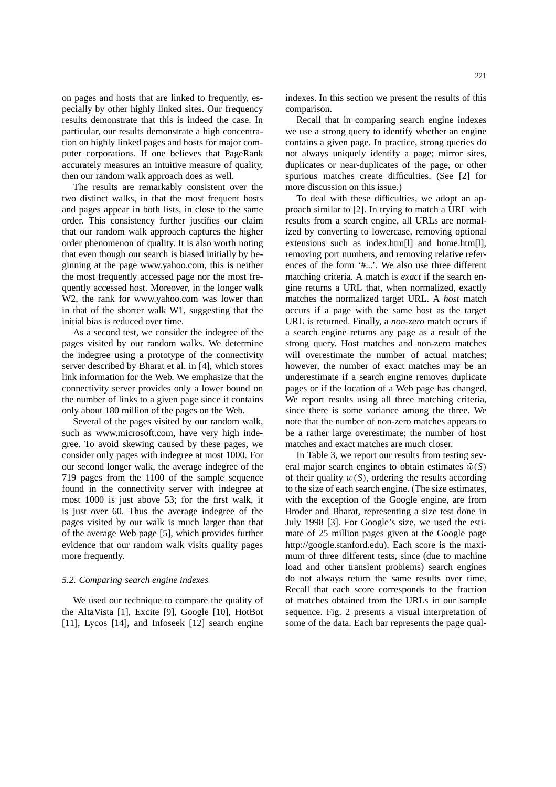on pages and hosts that are linked to frequently, especially by other highly linked sites. Our frequency results demonstrate that this is indeed the case. In particular, our results demonstrate a high concentration on highly linked pages and hosts for major computer corporations. If one believes that PageRank accurately measures an intuitive measure of quality, then our random walk approach does as well.

The results are remarkably consistent over the two distinct walks, in that the most frequent hosts and pages appear in both lists, in close to the same order. This consistency further justifies our claim that our random walk approach captures the higher order phenomenon of quality. It is also worth noting that even though our search is biased initially by beginning at the page www.yahoo.com, this is neither the most frequently accessed page nor the most frequently accessed host. Moreover, in the longer walk W<sub>2</sub>, the rank for www.yahoo.com was lower than in that of the shorter walk W1, suggesting that the initial bias is reduced over time.

As a second test, we consider the indegree of the pages visited by our random walks. We determine the indegree using a prototype of the connectivity server described by Bharat et al. in [4], which stores link information for the Web. We emphasize that the connectivity server provides only a lower bound on the number of links to a given page since it contains only about 180 million of the pages on the Web.

Several of the pages visited by our random walk, such as www.microsoft.com, have very high indegree. To avoid skewing caused by these pages, we consider only pages with indegree at most 1000. For our second longer walk, the average indegree of the 719 pages from the 1100 of the sample sequence found in the connectivity server with indegree at most 1000 is just above 53; for the first walk, it is just over 60. Thus the average indegree of the pages visited by our walk is much larger than that of the average Web page [5], which provides further evidence that our random walk visits quality pages more frequently.

#### *5.2. Comparing search engine indexes*

We used our technique to compare the quality of the AltaVista [1], Excite [9], Google [10], HotBot [11], Lycos [14], and Infoseek [12] search engine indexes. In this section we present the results of this comparison.

Recall that in comparing search engine indexes we use a strong query to identify whether an engine contains a given page. In practice, strong queries do not always uniquely identify a page; mirror sites, duplicates or near-duplicates of the page, or other spurious matches create difficulties. (See [2] for more discussion on this issue.)

To deal with these difficulties, we adopt an approach similar to [2]. In trying to match a URL with results from a search engine, all URLs are normalized by converting to lowercase, removing optional extensions such as index.htm[l] and home.htm[l], removing port numbers, and removing relative references of the form '#...'. We also use three different matching criteria. A match is *exact* if the search engine returns a URL that, when normalized, exactly matches the normalized target URL. A *host* match occurs if a page with the same host as the target URL is returned. Finally, a *non-zero* match occurs if a search engine returns any page as a result of the strong query. Host matches and non-zero matches will overestimate the number of actual matches; however, the number of exact matches may be an underestimate if a search engine removes duplicate pages or if the location of a Web page has changed. We report results using all three matching criteria, since there is some variance among the three. We note that the number of non-zero matches appears to be a rather large overestimate; the number of host matches and exact matches are much closer.

In Table 3, we report our results from testing several major search engines to obtain estimates  $\bar{w}(S)$ of their quality  $w(S)$ , ordering the results according to the size of each search engine. (The size estimates, with the exception of the Google engine, are from Broder and Bharat, representing a size test done in July 1998 [3]. For Google's size, we used the estimate of 25 million pages given at the Google page http://google.stanford.edu). Each score is the maximum of three different tests, since (due to machine load and other transient problems) search engines do not always return the same results over time. Recall that each score corresponds to the fraction of matches obtained from the URLs in our sample sequence. Fig. 2 presents a visual interpretation of some of the data. Each bar represents the page qual-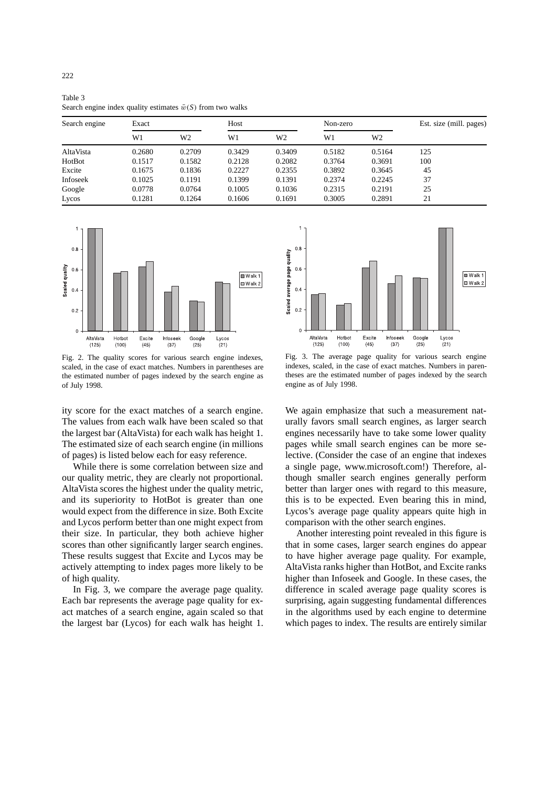Table 3 Search engine index quality estimates  $\bar{w}(S)$  from two walks

| Search engine | Exact  |                | Host   |        |        |        | Est. size (mill. pages) |
|---------------|--------|----------------|--------|--------|--------|--------|-------------------------|
|               | W1     | W <sub>2</sub> | W1     | W2     | W1     | W2     |                         |
| AltaVista     | 0.2680 | 0.2709         | 0.3429 | 0.3409 | 0.5182 | 0.5164 | 125                     |
| HotBot        | 0.1517 | 0.1582         | 0.2128 | 0.2082 | 0.3764 | 0.3691 | 100                     |
| Excite        | 0.1675 | 0.1836         | 0.2227 | 0.2355 | 0.3892 | 0.3645 | 45                      |
| Infoseek      | 0.1025 | 0.1191         | 0.1399 | 0.1391 | 0.2374 | 0.2245 | 37                      |
| Google        | 0.0778 | 0.0764         | 0.1005 | 0.1036 | 0.2315 | 0.2191 | 25                      |
| Lycos         | 0.1281 | 0.1264         | 0.1606 | 0.1691 | 0.3005 | 0.2891 | 21                      |



Fig. 2. The quality scores for various search engine indexes, scaled, in the case of exact matches. Numbers in parentheses are the estimated number of pages indexed by the search engine as of July 1998.

ity score for the exact matches of a search engine. The values from each walk have been scaled so that the largest bar (AltaVista) for each walk has height 1. The estimated size of each search engine (in millions of pages) is listed below each for easy reference.

While there is some correlation between size and our quality metric, they are clearly not proportional. AltaVista scores the highest under the quality metric, and its superiority to HotBot is greater than one would expect from the difference in size. Both Excite and Lycos perform better than one might expect from their size. In particular, they both achieve higher scores than other significantly larger search engines. These results suggest that Excite and Lycos may be actively attempting to index pages more likely to be of high quality.

In Fig. 3, we compare the average page quality. Each bar represents the average page quality for exact matches of a search engine, again scaled so that the largest bar (Lycos) for each walk has height 1.



Fig. 3. The average page quality for various search engine indexes, scaled, in the case of exact matches. Numbers in parentheses are the estimated number of pages indexed by the search engine as of July 1998.

We again emphasize that such a measurement naturally favors small search engines, as larger search engines necessarily have to take some lower quality pages while small search engines can be more selective. (Consider the case of an engine that indexes a single page, www.microsoft.com!) Therefore, although smaller search engines generally perform better than larger ones with regard to this measure, this is to be expected. Even bearing this in mind, Lycos's average page quality appears quite high in comparison with the other search engines.

Another interesting point revealed in this figure is that in some cases, larger search engines do appear to have higher average page quality. For example, AltaVista ranks higher than HotBot, and Excite ranks higher than Infoseek and Google. In these cases, the difference in scaled average page quality scores is surprising, again suggesting fundamental differences in the algorithms used by each engine to determine which pages to index. The results are entirely similar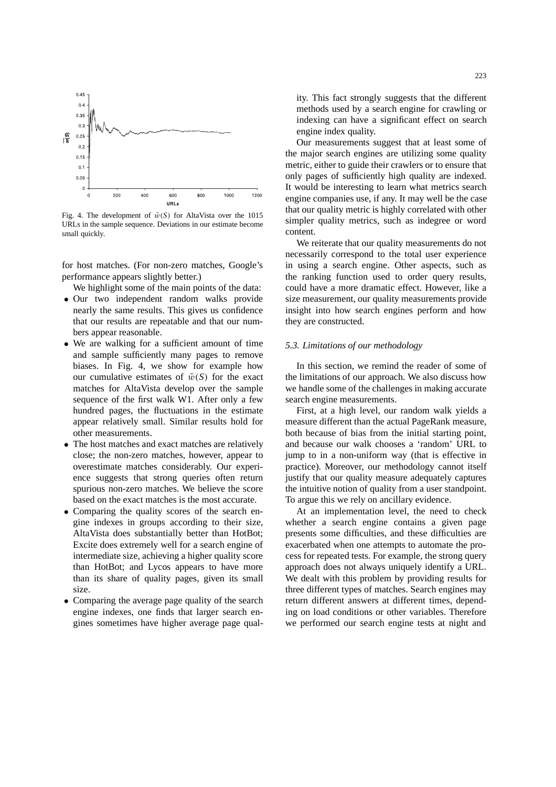

Fig. 4. The development of  $\bar{w}(S)$  for AltaVista over the 1015 URLs in the sample sequence. Deviations in our estimate become small quickly.

for host matches. (For non-zero matches, Google's performance appears slightly better.)

We highlight some of the main points of the data:

- Our two independent random walks provide nearly the same results. This gives us confidence that our results are repeatable and that our numbers appear reasonable.
- We are walking for a sufficient amount of time and sample sufficiently many pages to remove biases. In Fig. 4, we show for example how our cumulative estimates of  $\bar{w}(S)$  for the exact matches for AltaVista develop over the sample sequence of the first walk W1. After only a few hundred pages, the fluctuations in the estimate appear relatively small. Similar results hold for other measurements.
- The host matches and exact matches are relatively close; the non-zero matches, however, appear to overestimate matches considerably. Our experience suggests that strong queries often return spurious non-zero matches. We believe the score based on the exact matches is the most accurate.
- Comparing the quality scores of the search engine indexes in groups according to their size, AltaVista does substantially better than HotBot; Excite does extremely well for a search engine of intermediate size, achieving a higher quality score than HotBot; and Lycos appears to have more than its share of quality pages, given its small size.
- Comparing the average page quality of the search engine indexes, one finds that larger search engines sometimes have higher average page qual-

ity. This fact strongly suggests that the different methods used by a search engine for crawling or indexing can have a significant effect on search engine index quality.

Our measurements suggest that at least some of the major search engines are utilizing some quality metric, either to guide their crawlers or to ensure that only pages of sufficiently high quality are indexed. It would be interesting to learn what metrics search engine companies use, if any. It may well be the case that our quality metric is highly correlated with other simpler quality metrics, such as indegree or word content.

We reiterate that our quality measurements do not necessarily correspond to the total user experience in using a search engine. Other aspects, such as the ranking function used to order query results, could have a more dramatic effect. However, like a size measurement, our quality measurements provide insight into how search engines perform and how they are constructed.

## *5.3. Limitations of our methodology*

In this section, we remind the reader of some of the limitations of our approach. We also discuss how we handle some of the challenges in making accurate search engine measurements.

First, at a high level, our random walk yields a measure different than the actual PageRank measure, both because of bias from the initial starting point, and because our walk chooses a 'random' URL to jump to in a non-uniform way (that is effective in practice). Moreover, our methodology cannot itself justify that our quality measure adequately captures the intuitive notion of quality from a user standpoint. To argue this we rely on ancillary evidence.

At an implementation level, the need to check whether a search engine contains a given page presents some difficulties, and these difficulties are exacerbated when one attempts to automate the process for repeated tests. For example, the strong query approach does not always uniquely identify a URL. We dealt with this problem by providing results for three different types of matches. Search engines may return different answers at different times, depending on load conditions or other variables. Therefore we performed our search engine tests at night and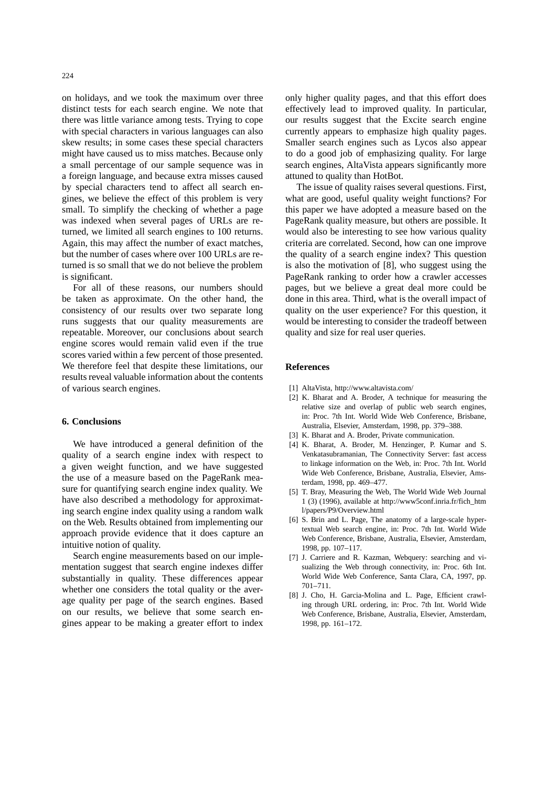on holidays, and we took the maximum over three distinct tests for each search engine. We note that there was little variance among tests. Trying to cope with special characters in various languages can also skew results; in some cases these special characters might have caused us to miss matches. Because only a small percentage of our sample sequence was in a foreign language, and because extra misses caused by special characters tend to affect all search engines, we believe the effect of this problem is very small. To simplify the checking of whether a page was indexed when several pages of URLs are returned, we limited all search engines to 100 returns. Again, this may affect the number of exact matches, but the number of cases where over 100 URLs are returned is so small that we do not believe the problem is significant.

For all of these reasons, our numbers should be taken as approximate. On the other hand, the consistency of our results over two separate long runs suggests that our quality measurements are repeatable. Moreover, our conclusions about search engine scores would remain valid even if the true scores varied within a few percent of those presented. We therefore feel that despite these limitations, our results reveal valuable information about the contents of various search engines.

## **6. Conclusions**

We have introduced a general definition of the quality of a search engine index with respect to a given weight function, and we have suggested the use of a measure based on the PageRank measure for quantifying search engine index quality. We have also described a methodology for approximating search engine index quality using a random walk on the Web. Results obtained from implementing our approach provide evidence that it does capture an intuitive notion of quality.

Search engine measurements based on our implementation suggest that search engine indexes differ substantially in quality. These differences appear whether one considers the total quality or the average quality per page of the search engines. Based on our results, we believe that some search engines appear to be making a greater effort to index only higher quality pages, and that this effort does effectively lead to improved quality. In particular, our results suggest that the Excite search engine currently appears to emphasize high quality pages. Smaller search engines such as Lycos also appear to do a good job of emphasizing quality. For large search engines, AltaVista appears significantly more attuned to quality than HotBot.

The issue of quality raises several questions. First, what are good, useful quality weight functions? For this paper we have adopted a measure based on the PageRank quality measure, but others are possible. It would also be interesting to see how various quality criteria are correlated. Second, how can one improve the quality of a search engine index? This question is also the motivation of [8], who suggest using the PageRank ranking to order how a crawler accesses pages, but we believe a great deal more could be done in this area. Third, what is the overall impact of quality on the user experience? For this question, it would be interesting to consider the tradeoff between quality and size for real user queries.

## **References**

- [1] AltaVista, http://www.altavista.com/
- [2] K. Bharat and A. Broder, A technique for measuring the relative size and overlap of public web search engines, in: Proc. 7th Int. World Wide Web Conference, Brisbane, Australia, Elsevier, Amsterdam, 1998, pp. 379–388.
- [3] K. Bharat and A. Broder, Private communication.
- [4] K. Bharat, A. Broder, M. Henzinger, P. Kumar and S. Venkatasubramanian, The Connectivity Server: fast access to linkage information on the Web, in: Proc. 7th Int. World Wide Web Conference, Brisbane, Australia, Elsevier, Amsterdam, 1998, pp. 469–477.
- [5] T. Bray, Measuring the Web, The World Wide Web Journal 1 (3) (1996), available at http://www5conf.inria.fr/fich\_htm l/papers/P9/Overview.html
- [6] S. Brin and L. Page, The anatomy of a large-scale hypertextual Web search engine, in: Proc. 7th Int. World Wide Web Conference, Brisbane, Australia, Elsevier, Amsterdam, 1998, pp. 107–117.
- [7] J. Carriere and R. Kazman, Webquery: searching and visualizing the Web through connectivity, in: Proc. 6th Int. World Wide Web Conference, Santa Clara, CA, 1997, pp. 701–711.
- [8] J. Cho, H. Garcia-Molina and L. Page, Efficient crawling through URL ordering, in: Proc. 7th Int. World Wide Web Conference, Brisbane, Australia, Elsevier, Amsterdam, 1998, pp. 161–172.